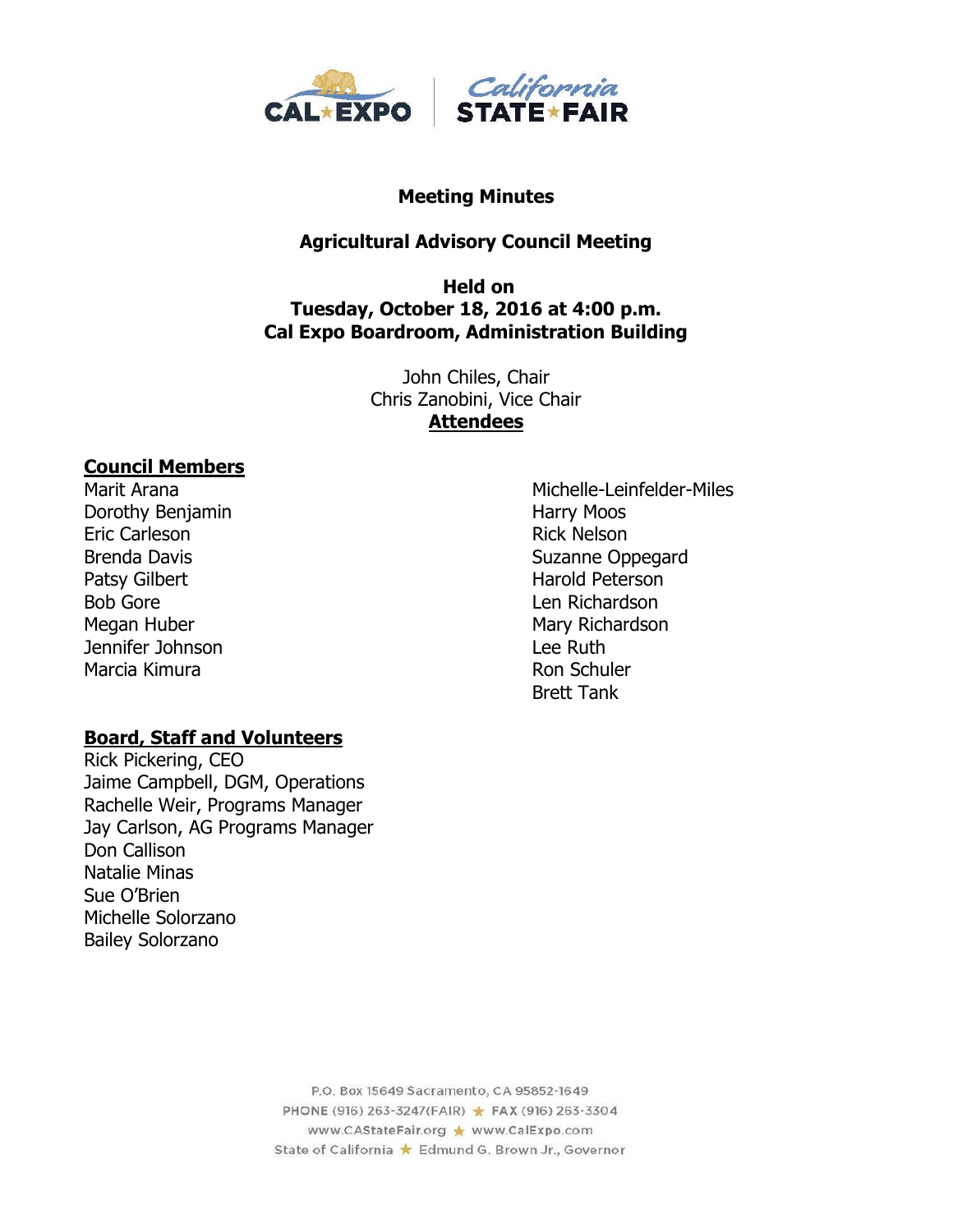

#### **Meeting Minutes**

# **Agricultural Advisory Council Meeting**

#### **Held on Tuesday, October 18, 2016 at 4:00 p.m. Cal Expo Boardroom, Administration Building**

John Chiles, Chair Chris Zanobini, Vice Chair **Attendees**

#### **Council Members**

Dorothy Benjamin **Harry Moos** Eric Carleson **Rick Nelson** Rick Nelson Patsy Gilbert **Harold Peterson** Bob Gore **Len Richardson** Megan Huber Mary Richardson Jennifer Johnson Lee Ruth Marcia Kimura **Ron Schuler** Ron Schuler

#### **Board, Staff and Volunteers**

Rick Pickering, CEO Jaime Campbell, DGM, Operations Rachelle Weir, Programs Manager Jay Carlson, AG Programs Manager Don Callison Natalie Minas Sue O'Brien Michelle Solorzano Bailey Solorzano

Marit Arana Michelle-Leinfelder-Miles Brenda Davis **Suzanne Oppegard** Brett Tank

> P.O. Box 15649 Sacramento, CA 95852-1649 PHONE (916) 263-3247(FAIR) ★ FAX (916) 263-3304 www.CAStateFair.org ★ www.CalExpo.com State of California \* Edmund G. Brown Jr., Governor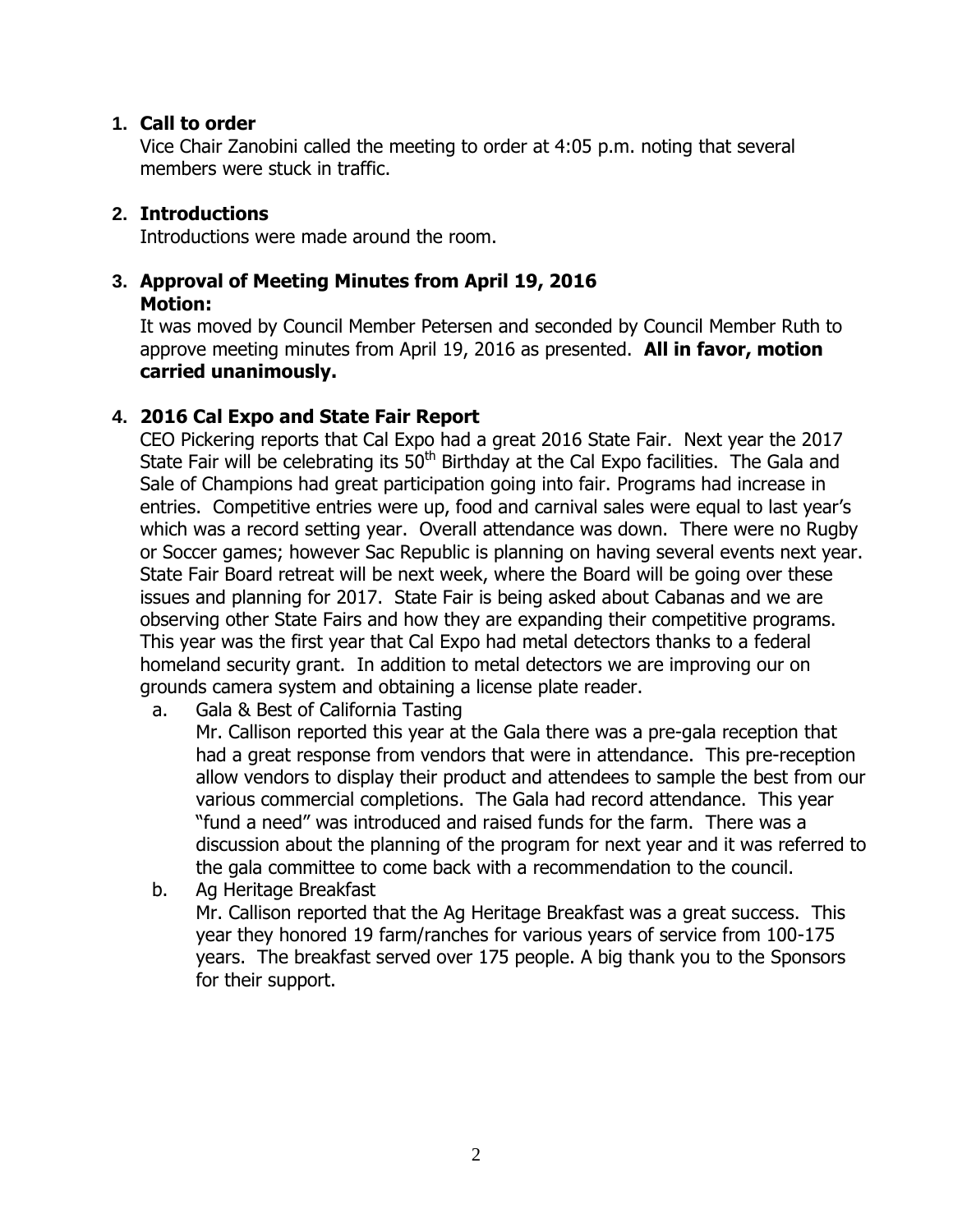# **1. Call to order**

Vice Chair Zanobini called the meeting to order at 4:05 p.m. noting that several members were stuck in traffic.

# **2. Introductions**

Introductions were made around the room.

# **3. Approval of Meeting Minutes from April 19, 2016**

## **Motion:**

It was moved by Council Member Petersen and seconded by Council Member Ruth to approve meeting minutes from April 19, 2016 as presented. **All in favor, motion carried unanimously.**

# **4. 2016 Cal Expo and State Fair Report**

CEO Pickering reports that Cal Expo had a great 2016 State Fair. Next year the 2017 State Fair will be celebrating its  $50<sup>th</sup>$  Birthday at the Cal Expo facilities. The Gala and Sale of Champions had great participation going into fair. Programs had increase in entries. Competitive entries were up, food and carnival sales were equal to last year's which was a record setting year. Overall attendance was down. There were no Rugby or Soccer games; however Sac Republic is planning on having several events next year. State Fair Board retreat will be next week, where the Board will be going over these issues and planning for 2017. State Fair is being asked about Cabanas and we are observing other State Fairs and how they are expanding their competitive programs. This year was the first year that Cal Expo had metal detectors thanks to a federal homeland security grant. In addition to metal detectors we are improving our on grounds camera system and obtaining a license plate reader.

a. Gala & Best of California Tasting

Mr. Callison reported this year at the Gala there was a pre-gala reception that had a great response from vendors that were in attendance. This pre-reception allow vendors to display their product and attendees to sample the best from our various commercial completions. The Gala had record attendance. This year "fund a need" was introduced and raised funds for the farm. There was a discussion about the planning of the program for next year and it was referred to the gala committee to come back with a recommendation to the council.

b. Ag Heritage Breakfast Mr. Callison reported that the Ag Heritage Breakfast was a great success. This year they honored 19 farm/ranches for various years of service from 100-175 years. The breakfast served over 175 people. A big thank you to the Sponsors for their support.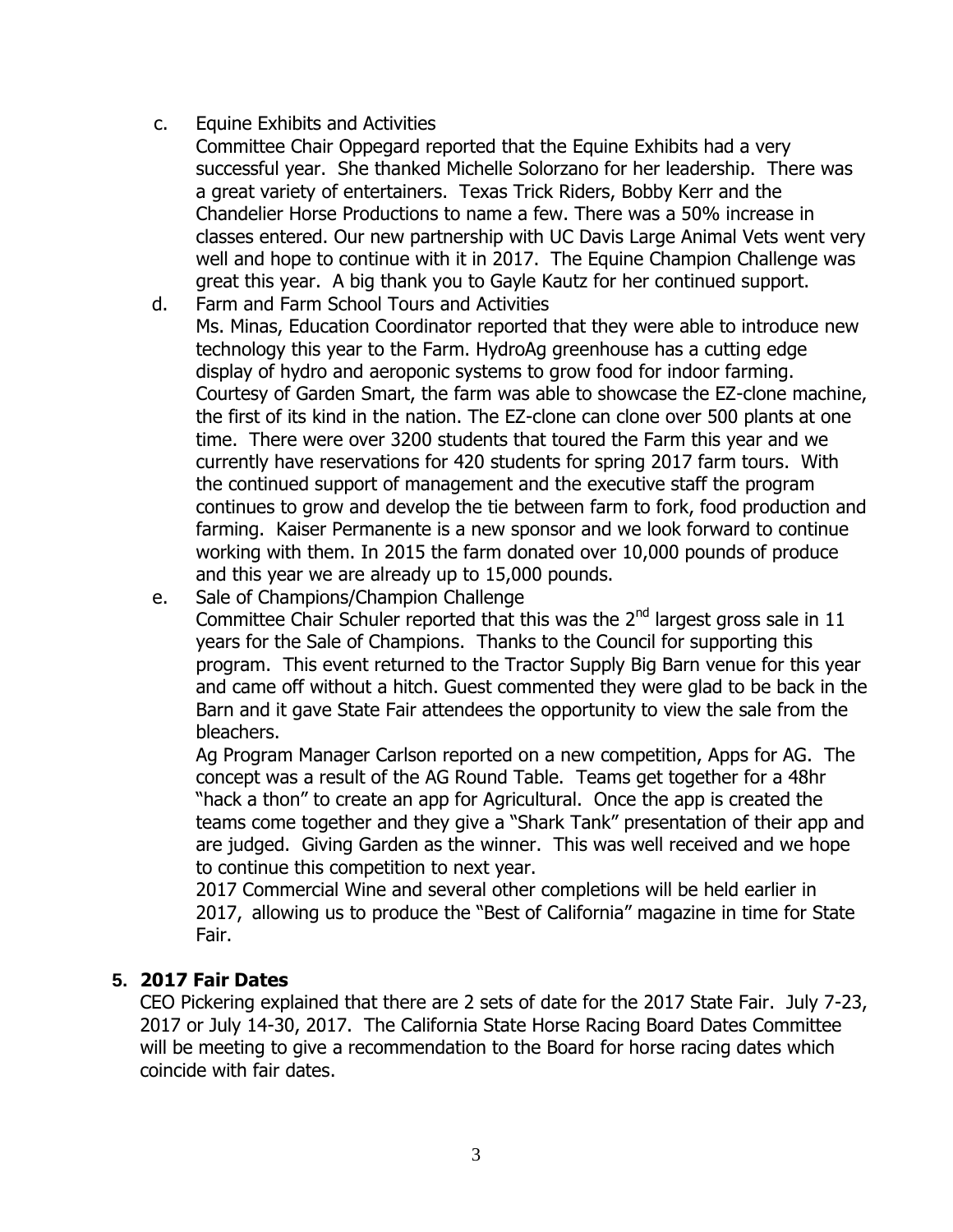- c. Equine Exhibits and Activities
	- Committee Chair Oppegard reported that the Equine Exhibits had a very successful year. She thanked Michelle Solorzano for her leadership. There was a great variety of entertainers. Texas Trick Riders, Bobby Kerr and the Chandelier Horse Productions to name a few. There was a 50% increase in classes entered. Our new partnership with UC Davis Large Animal Vets went very well and hope to continue with it in 2017. The Equine Champion Challenge was great this year. A big thank you to Gayle Kautz for her continued support.
- d. Farm and Farm School Tours and Activities Ms. Minas, Education Coordinator reported that they were able to introduce new technology this year to the Farm. HydroAg greenhouse has a cutting edge display of hydro and aeroponic systems to grow food for indoor farming. Courtesy of Garden Smart, the farm was able to showcase the EZ-clone machine, the first of its kind in the nation. The EZ-clone can clone over 500 plants at one time. There were over 3200 students that toured the Farm this year and we currently have reservations for 420 students for spring 2017 farm tours. With the continued support of management and the executive staff the program continues to grow and develop the tie between farm to fork, food production and farming. Kaiser Permanente is a new sponsor and we look forward to continue working with them. In 2015 the farm donated over 10,000 pounds of produce and this year we are already up to 15,000 pounds.
- e. Sale of Champions/Champion Challenge

Committee Chair Schuler reported that this was the 2<sup>nd</sup> largest gross sale in 11 years for the Sale of Champions. Thanks to the Council for supporting this program. This event returned to the Tractor Supply Big Barn venue for this year and came off without a hitch. Guest commented they were glad to be back in the Barn and it gave State Fair attendees the opportunity to view the sale from the bleachers.

Ag Program Manager Carlson reported on a new competition, Apps for AG. The concept was a result of the AG Round Table. Teams get together for a 48hr "hack a thon" to create an app for Agricultural. Once the app is created the teams come together and they give a "Shark Tank" presentation of their app and are judged. Giving Garden as the winner. This was well received and we hope to continue this competition to next year.

2017 Commercial Wine and several other completions will be held earlier in 2017, allowing us to produce the "Best of California" magazine in time for State Fair.

## **5. 2017 Fair Dates**

CEO Pickering explained that there are 2 sets of date for the 2017 State Fair. July 7-23, 2017 or July 14-30, 2017. The California State Horse Racing Board Dates Committee will be meeting to give a recommendation to the Board for horse racing dates which coincide with fair dates.